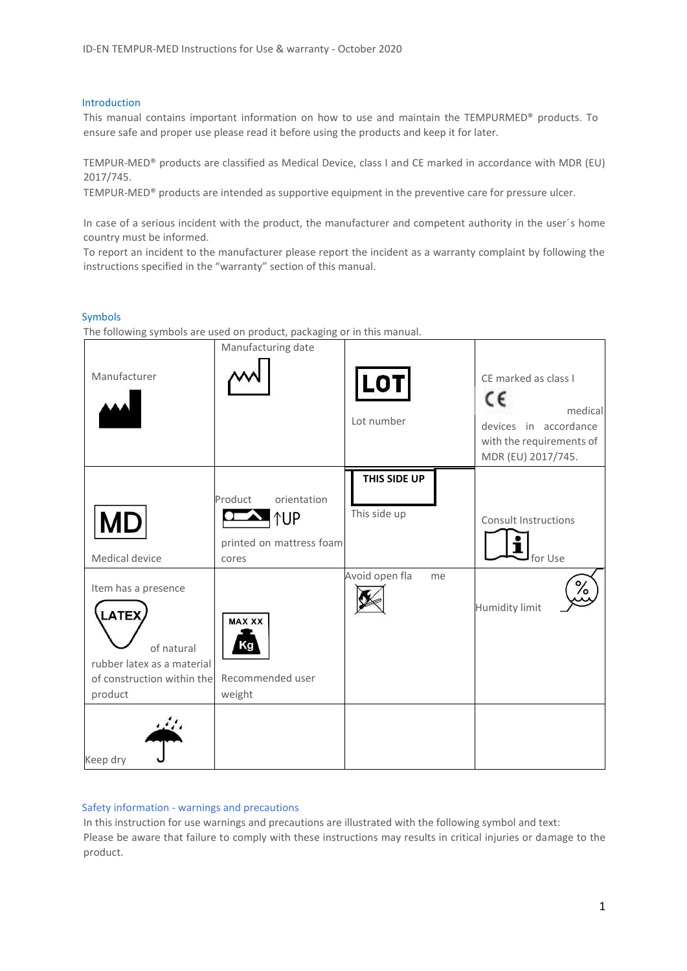#### Introduction

This manual contains important information on how to use and maintain the TEMPURMED® products. To ensure safe and proper use please read it before using the products and keep it for later.

TEMPUR-MED® products are classified as Medical Device, class I and CE marked in accordance with MDR (EU) 2017/745.

TEMPUR-MED® products are intended as supportive equipment in the preventive care for pressure ulcer.

In case of a serious incident with the product, the manufacturer and competent authority in the user´s home country must be informed.

To report an incident to the manufacturer please report the incident as a warranty complaint by following the instructions specified in the "warranty" section of this manual.

#### Symbols

The following symbols are used on product, packaging or in this manual.

| Manufacturer                                                                                                             | Manufacturing date                                                        | <b>LOT</b><br>Lot number     | CE marked as class I<br>c٤<br>medical<br>devices in accordance<br>with the requirements of<br>MDR (EU) 2017/745. |
|--------------------------------------------------------------------------------------------------------------------------|---------------------------------------------------------------------------|------------------------------|------------------------------------------------------------------------------------------------------------------|
| <b>MD</b><br>Medical device                                                                                              | orientation<br>Product<br><b>NUP</b><br>printed on mattress foam<br>cores | THIS SIDE UP<br>This side up | <b>Consult Instructions</b><br>for Use                                                                           |
| Item has a presence<br><b>LATEX</b><br>of natural<br>rubber latex as a material<br>of construction within the<br>product | <b>MAX XX</b><br>Κa<br>Recommended user<br>weight                         | Avoid open fla<br>me         | /٥<br><b>Humidity limit</b>                                                                                      |
| Keep dry                                                                                                                 |                                                                           |                              |                                                                                                                  |

#### Safety information - warnings and precautions

In this instruction for use warnings and precautions are illustrated with the following symbol and text: Please be aware that failure to comply with these instructions may results in critical injuries or damage to the product.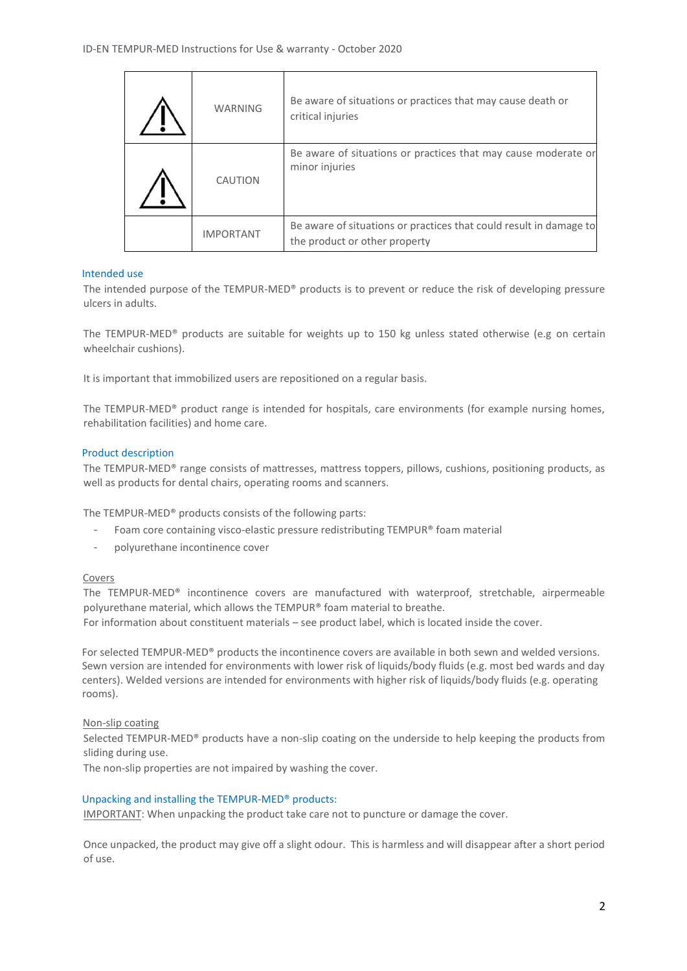| <b>WARNING</b>   | Be aware of situations or practices that may cause death or<br>critical injuries                    |
|------------------|-----------------------------------------------------------------------------------------------------|
| CAUTION          | Be aware of situations or practices that may cause moderate or<br>minor injuries                    |
| <b>IMPORTANT</b> | Be aware of situations or practices that could result in damage to<br>the product or other property |

## Intended use

 $\mathbf{r}$ 

The intended purpose of the TEMPUR-MED® products is to prevent or reduce the risk of developing pressure ulcers in adults.

The TEMPUR-MED® products are suitable for weights up to 150 kg unless stated otherwise (e.g on certain wheelchair cushions).

It is important that immobilized users are repositioned on a regular basis.

The TEMPUR-MED® product range is intended for hospitals, care environments (for example nursing homes, rehabilitation facilities) and home care.

### Product description

The TEMPUR-MED® range consists of mattresses, mattress toppers, pillows, cushions, positioning products, as well as products for dental chairs, operating rooms and scanners.

The TEMPUR-MED® products consists of the following parts:

- Foam core containing visco-elastic pressure redistributing TEMPUR® foam material
- polyurethane incontinence cover

#### Covers

The TEMPUR-MED® incontinence covers are manufactured with waterproof, stretchable, airpermeable polyurethane material, which allows the TEMPUR® foam material to breathe. For information about constituent materials – see product label, which is located inside the cover.

For selected TEMPUR-MED® products the incontinence covers are available in both sewn and welded versions. Sewn version are intended for environments with lower risk of liquids/body fluids (e.g. most bed wards and day centers). Welded versions are intended for environments with higher risk of liquids/body fluids (e.g. operating rooms).

#### Non-slip coating

Selected TEMPUR-MED® products have a non-slip coating on the underside to help keeping the products from sliding during use.

The non-slip properties are not impaired by washing the cover.

## Unpacking and installing the TEMPUR-MED® products:

IMPORTANT: When unpacking the product take care not to puncture or damage the cover.

Once unpacked, the product may give off a slight odour. This is harmless and will disappear after a short period of use.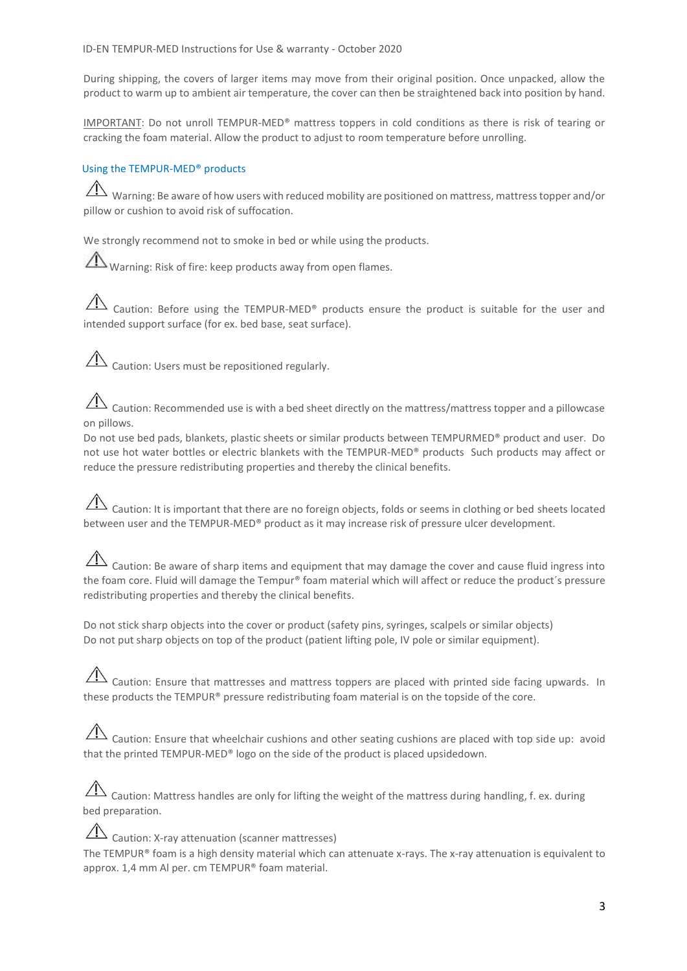During shipping, the covers of larger items may move from their original position. Once unpacked, allow the product to warm up to ambient air temperature, the cover can then be straightened back into position by hand.

IMPORTANT: Do not unroll TEMPUR-MED® mattress toppers in cold conditions as there is risk of tearing or cracking the foam material. Allow the product to adjust to room temperature before unrolling.

## Using the TEMPUR-MED® products

Warning: Be aware of how users with reduced mobility are positioned on mattress, mattress topper and/or pillow or cushion to avoid risk of suffocation.

We strongly recommend not to smoke in bed or while using the products.

Warning: Risk of fire: keep products away from open flames.

 $\overline{\mathcal{A}}$  Caution: Before using the TEMPUR-MED® products ensure the product is suitable for the user and intended support surface (for ex. bed base, seat surface).

 $\overline{\mathcal{A}}$  Caution: Users must be repositioned regularly.

Caution: Recommended use is with a bed sheet directly on the mattress/mattress topper and a pillowcase on pillows.

Do not use bed pads, blankets, plastic sheets or similar products between TEMPURMED® product and user. Do not use hot water bottles or electric blankets with the TEMPUR-MED® products Such products may affect or reduce the pressure redistributing properties and thereby the clinical benefits.

# $\overline{\triangle}$  Caution: It is important that there are no foreign objects, folds or seems in clothing or bed sheets located between user and the TEMPUR-MED® product as it may increase risk of pressure ulcer development.

 $\hat{\triangle}$  Caution: Be aware of sharp items and equipment that may damage the cover and cause fluid ingress into the foam core. Fluid will damage the Tempur® foam material which will affect or reduce the product's pressure redistributing properties and thereby the clinical benefits.

Do not stick sharp objects into the cover or product (safety pins, syringes, scalpels or similar objects) Do not put sharp objects on top of the product (patient lifting pole, IV pole or similar equipment).

 $\sqrt{12}$  Caution: Ensure that mattresses and mattress toppers are placed with printed side facing upwards. In these products the TEMPUR® pressure redistributing foam material is on the topside of the core.

 $\Box$  Caution: Ensure that wheelchair cushions and other seating cushions are placed with top side up: avoid that the printed TEMPUR-MED® logo on the side of the product is placed upsidedown.

 $\hat{A}$  Caution: Mattress handles are only for lifting the weight of the mattress during handling, f. ex. during bed preparation.

 $\overline{\Delta}$  Caution: X-ray attenuation (scanner mattresses) The TEMPUR® foam is a high density material which can attenuate x-rays. The x-ray attenuation is equivalent to approx. 1,4 mm Al per. cm TEMPUR® foam material.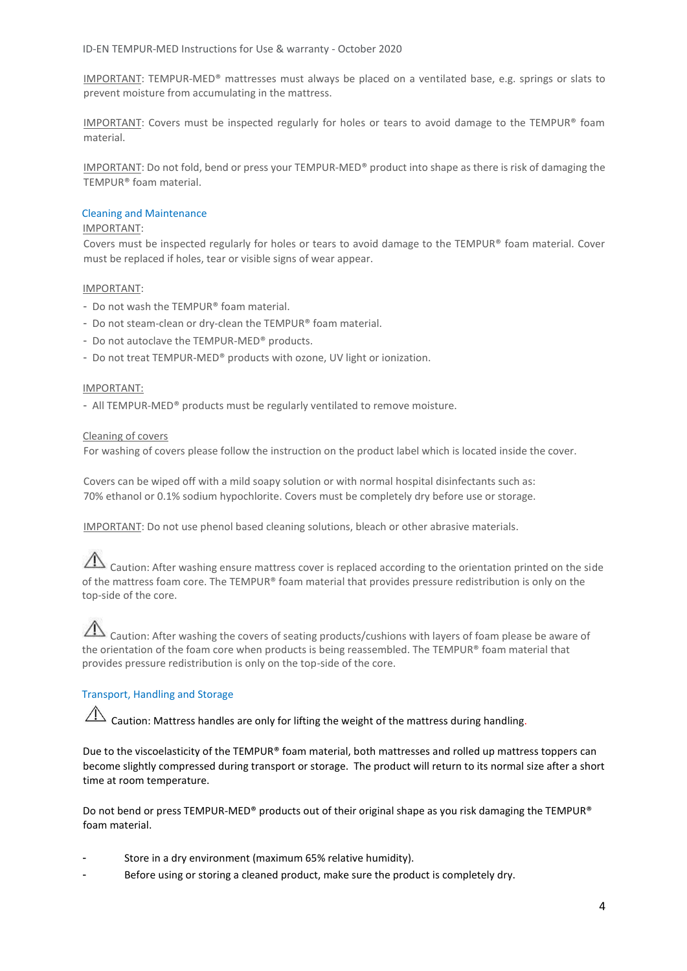IMPORTANT: TEMPUR-MED® mattresses must always be placed on a ventilated base, e.g. springs or slats to prevent moisture from accumulating in the mattress.

IMPORTANT: Covers must be inspected regularly for holes or tears to avoid damage to the TEMPUR® foam material.

IMPORTANT: Do not fold, bend or press your TEMPUR-MED® product into shape as there is risk of damaging the TEMPUR® foam material.

#### Cleaning and Maintenance

#### IMPORTANT:

Covers must be inspected regularly for holes or tears to avoid damage to the TEMPUR® foam material. Cover must be replaced if holes, tear or visible signs of wear appear.

#### IMPORTANT:

- Do not wash the TEMPUR® foam material.
- Do not steam-clean or dry-clean the TEMPUR® foam material.
- Do not autoclave the TEMPUR-MED® products.
- Do not treat TEMPUR-MED® products with ozone, UV light or ionization.

#### IMPORTANT:

- All TEMPUR-MED® products must be regularly ventilated to remove moisture.

#### Cleaning of covers

For washing of covers please follow the instruction on the product label which is located inside the cover.

Covers can be wiped off with a mild soapy solution or with normal hospital disinfectants such as: 70% ethanol or 0.1% sodium hypochlorite. Covers must be completely dry before use or storage.

IMPORTANT: Do not use phenol based cleaning solutions, bleach or other abrasive materials.

 $\triangle$  Caution: After washing ensure mattress cover is replaced according to the orientation printed on the side of the mattress foam core. The TEMPUR® foam material that provides pressure redistribution is only on the top-side of the core.

## Caution: After washing the covers of seating products/cushions with layers of foam please be aware of the orientation of the foam core when products is being reassembled. The TEMPUR® foam material that provides pressure redistribution is only on the top-side of the core.

## Transport, Handling and Storage

 $\hat{\Lambda}$  Caution: Mattress handles are only for lifting the weight of the mattress during handling.

Due to the viscoelasticity of the TEMPUR® foam material, both mattresses and rolled up mattress toppers can become slightly compressed during transport or storage. The product will return to its normal size after a short time at room temperature.

Do not bend or press TEMPUR-MED® products out of their original shape as you risk damaging the TEMPUR® foam material.

- Store in a dry environment (maximum 65% relative humidity).
- Before using or storing a cleaned product, make sure the product is completely dry.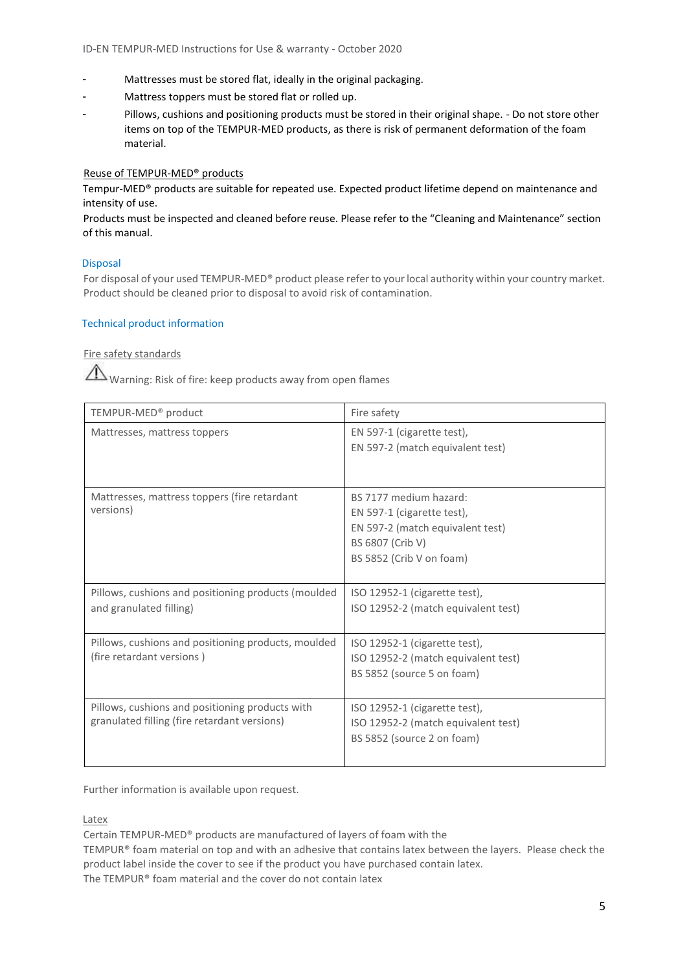- Mattresses must be stored flat, ideally in the original packaging.
- Mattress toppers must be stored flat or rolled up.
- Pillows, cushions and positioning products must be stored in their original shape. Do not store other items on top of the TEMPUR-MED products, as there is risk of permanent deformation of the foam material.

## Reuse of TEMPUR-MED® products

Tempur-MED® products are suitable for repeated use. Expected product lifetime depend on maintenance and intensity of use.

Products must be inspected and cleaned before reuse. Please refer to the "Cleaning and Maintenance" section of this manual.

#### Disposal

For disposal of your used TEMPUR-MED® product please refer to your local authority within your country market. Product should be cleaned prior to disposal to avoid risk of contamination.

#### Technical product information

Fire safety standards

Warning: Risk of fire: keep products away from open flames

| TEMPUR-MED <sup>®</sup> product                                                                 | Fire safety                                                                                                                              |  |
|-------------------------------------------------------------------------------------------------|------------------------------------------------------------------------------------------------------------------------------------------|--|
| Mattresses, mattress toppers                                                                    | EN 597-1 (cigarette test),<br>EN 597-2 (match equivalent test)                                                                           |  |
| Mattresses, mattress toppers (fire retardant<br>versions)                                       | BS 7177 medium hazard:<br>EN 597-1 (cigarette test),<br>EN 597-2 (match equivalent test)<br>BS 6807 (Crib V)<br>BS 5852 (Crib V on foam) |  |
| Pillows, cushions and positioning products (moulded<br>and granulated filling)                  | ISO 12952-1 (cigarette test),<br>ISO 12952-2 (match equivalent test)                                                                     |  |
| Pillows, cushions and positioning products, moulded<br>(fire retardant versions)                | ISO 12952-1 (cigarette test),<br>ISO 12952-2 (match equivalent test)<br>BS 5852 (source 5 on foam)                                       |  |
| Pillows, cushions and positioning products with<br>granulated filling (fire retardant versions) | ISO 12952-1 (cigarette test),<br>ISO 12952-2 (match equivalent test)<br>BS 5852 (source 2 on foam)                                       |  |

Further information is available upon request.

Latex

Certain TEMPUR-MED® products are manufactured of layers of foam with the

TEMPUR® foam material on top and with an adhesive that contains latex between the layers. Please check the product label inside the cover to see if the product you have purchased contain latex.

The TEMPUR® foam material and the cover do not contain latex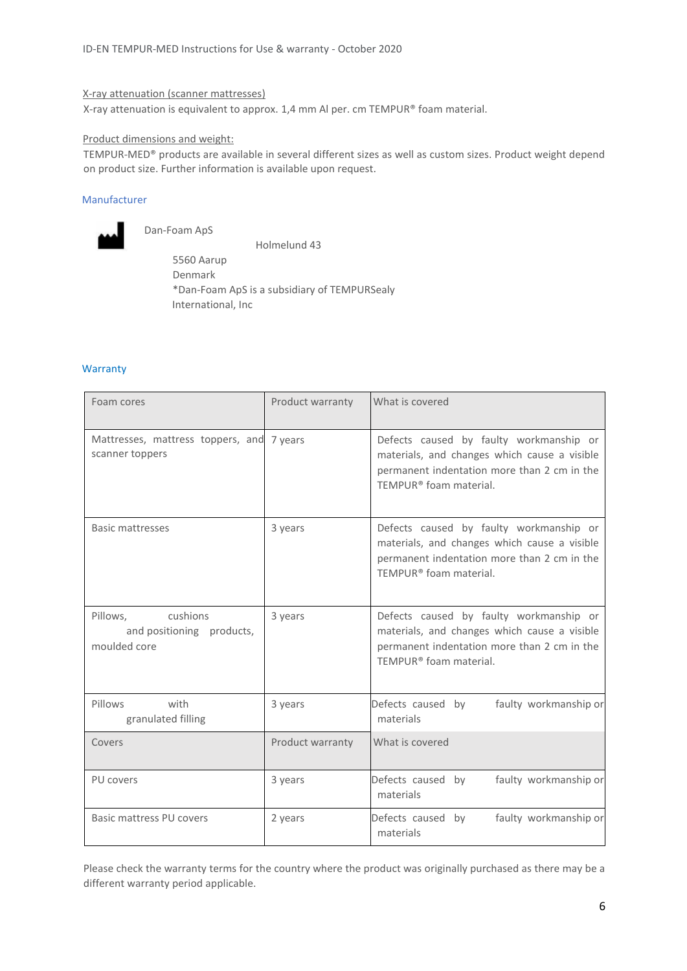#### X-ray attenuation (scanner mattresses)

X-ray attenuation is equivalent to approx. 1,4 mm Al per. cm TEMPUR® foam material.

#### Product dimensions and weight:

TEMPUR-MED® products are available in several different sizes as well as custom sizes. Product weight depend on product size. Further information is available upon request.

## Manufacturer



Dan-Foam ApS

 Holmelund 43 5560 Aarup Denmark \*Dan-Foam ApS is a subsidiary of TEMPURSealy International, Inc

#### **Warranty**

| Foam cores                                                        | Product warranty | What is covered                                                                                                                                                              |
|-------------------------------------------------------------------|------------------|------------------------------------------------------------------------------------------------------------------------------------------------------------------------------|
| Mattresses, mattress toppers, and 7 years<br>scanner toppers      |                  | Defects caused by faulty workmanship or<br>materials, and changes which cause a visible<br>permanent indentation more than 2 cm in the<br>TEMPUR <sup>®</sup> foam material. |
| <b>Basic mattresses</b>                                           | 3 years          | Defects caused by faulty workmanship or<br>materials, and changes which cause a visible<br>permanent indentation more than 2 cm in the<br>TEMPUR® foam material.             |
| cushions<br>Pillows.<br>and positioning products,<br>moulded core | 3 years          | Defects caused by faulty workmanship or<br>materials, and changes which cause a visible<br>permanent indentation more than 2 cm in the<br>TEMPUR® foam material.             |
| Pillows<br>with<br>granulated filling                             | 3 years          | Defects caused by<br>faulty workmanship or<br>materials                                                                                                                      |
| Covers                                                            | Product warranty | What is covered                                                                                                                                                              |
| PU covers                                                         | 3 years          | Defects caused by<br>faulty workmanship or<br>materials                                                                                                                      |
| Basic mattress PU covers                                          | 2 years          | faulty workmanship or<br>Defects caused by<br>materials                                                                                                                      |

Please check the warranty terms for the country where the product was originally purchased as there may be a different warranty period applicable.